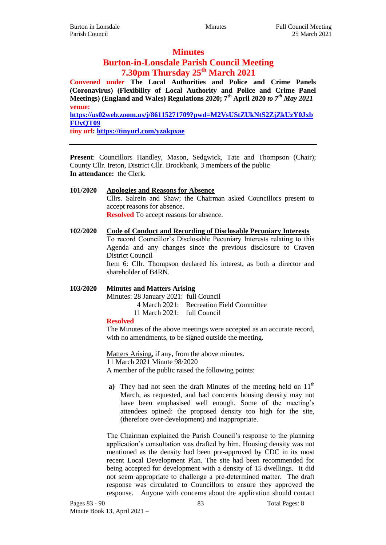## **Minutes**

# **Burton-in-Lonsdale Parish Council Meeting 7.30pm Thursday 25th March 2021**

**Convened under The Local Authorities and Police and Crime Panels (Coronavirus) (Flexibility of Local Authority and Police and Crime Panel Meetings) (England and Wales) Regulations 2020; 7th April 2020** *to 7th May 2021* **venue: [https://us02web.zoom.us/j/86115271709?pwd=M2VsUStZUkNtS2ZjZkUzY0Jxb](https://us02web.zoom.us/j/86115271709?pwd=M2VsUStZUkNtS2ZjZkUzY0JxbFUyQT09) [FUyQT09](https://us02web.zoom.us/j/86115271709?pwd=M2VsUStZUkNtS2ZjZkUzY0JxbFUyQT09)**

**tiny url:<https://tinyurl.com/yzakpxae>**

**Present**: Councillors Handley, Mason, Sedgwick, Tate and Thompson (Chair); County Cllr. Ireton, District Cllr. Brockbank, 3 members of the public **In attendance:** the Clerk.

- **101/2020 Apologies and Reasons for Absence** Cllrs. Salrein and Shaw; the Chairman asked Councillors present to accept reasons for absence. **Resolved** To accept reasons for absence.
- **102/2020 Code of Conduct and Recording of Disclosable Pecuniary Interests** To record Councillor's Disclosable Pecuniary Interests relating to this Agenda and any changes since the previous disclosure to Craven District Council Item 6: Cllr. Thompson declared his interest, as both a director and shareholder of B4RN.

## **103/2020 Minutes and Matters Arising**

Minutes: 28 January 2021: full Council

4 March 2021: Recreation Field Committee

11 March 2021: full Council

#### **Resolved**

The Minutes of the above meetings were accepted as an accurate record, with no amendments, to be signed outside the meeting.

Matters Arising, if any, from the above minutes. 11 March 2021 Minute 98/2020 A member of the public raised the following points:

**a**) They had not seen the draft Minutes of the meeting held on  $11<sup>th</sup>$ March, as requested, and had concerns housing density may not have been emphasised well enough. Some of the meeting's attendees opined: the proposed density too high for the site, (therefore over-development) and inappropriate.

The Chairman explained the Parish Council's response to the planning application's consultation was drafted by him. Housing density was not mentioned as the density had been pre-approved by CDC in its most recent Local Development Plan. The site had been recommended for being accepted for development with a density of 15 dwellings. It did not seem appropriate to challenge a pre-determined matter. The draft response was circulated to Councillors to ensure they approved the response. Anyone with concerns about the application should contact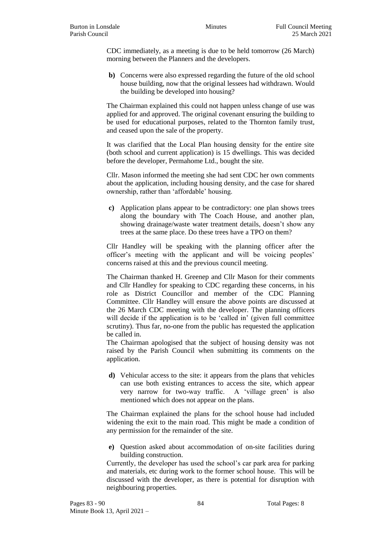CDC immediately, as a meeting is due to be held tomorrow (26 March) morning between the Planners and the developers.

**b)** Concerns were also expressed regarding the future of the old school house building, now that the original lessees had withdrawn. Would the building be developed into housing?

The Chairman explained this could not happen unless change of use was applied for and approved. The original covenant ensuring the building to be used for educational purposes, related to the Thornton family trust, and ceased upon the sale of the property.

It was clarified that the Local Plan housing density for the entire site (both school and current application) is 15 dwellings. This was decided before the developer, Permahome Ltd., bought the site.

Cllr. Mason informed the meeting she had sent CDC her own comments about the application, including housing density, and the case for shared ownership, rather than 'affordable' housing.

**c)** Application plans appear to be contradictory: one plan shows trees along the boundary with The Coach House, and another plan, showing drainage/waste water treatment details, doesn't show any trees at the same place. Do these trees have a TPO on them?

Cllr Handley will be speaking with the planning officer after the officer's meeting with the applicant and will be voicing peoples' concerns raised at this and the previous council meeting.

The Chairman thanked H. Greenep and Cllr Mason for their comments and Cllr Handley for speaking to CDC regarding these concerns, in his role as District Councillor and member of the CDC Planning Committee. Cllr Handley will ensure the above points are discussed at the 26 March CDC meeting with the developer. The planning officers will decide if the application is to be 'called in' (given full committee scrutiny). Thus far, no-one from the public has requested the application be called in.

The Chairman apologised that the subject of housing density was not raised by the Parish Council when submitting its comments on the application.

**d)** Vehicular access to the site: it appears from the plans that vehicles can use both existing entrances to access the site, which appear very narrow for two-way traffic. A 'village green' is also mentioned which does not appear on the plans.

The Chairman explained the plans for the school house had included widening the exit to the main road. This might be made a condition of any permission for the remainder of the site.

**e)** Question asked about accommodation of on-site facilities during building construction.

Currently, the developer has used the school's car park area for parking and materials, etc during work to the former school house. This will be discussed with the developer, as there is potential for disruption with neighbouring properties.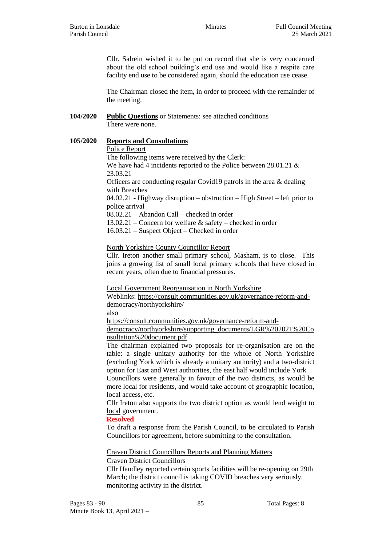Cllr. Salrein wished it to be put on record that she is very concerned about the old school building's end use and would like a respite care facility end use to be considered again, should the education use cease.

The Chairman closed the item, in order to proceed with the remainder of the meeting.

## **104/2020 Public Questions** or Statements: see attached conditions There were none.

### **105/2020 Reports and Consultations**

**a)** Police Report

The following items were received by the Clerk: We have had 4 incidents reported to the Police between 28.01.21 & 23.03.21 Officers are conducting regular Covid19 patrols in the area & dealing with Breaches 04.02.21 - Highway disruption – obstruction – High Street – left prior to police arrival 08.02.21 – Abandon Call – checked in order 13.02.21 – Concern for welfare & safety – checked in order 16.03.21 – Suspect Object – Checked in order

**b)** North Yorkshire County Councillor Report

Cllr. Ireton another small primary school, Masham, is to close. This joins a growing list of small local primary schools that have closed in recent years, often due to financial pressures.

**c)** Local Government Reorganisation in North Yorkshire

Weblinks: [https://consult.communities.gov.uk/governance-reform-and](https://consult.communities.gov.uk/governance-reform-and-democracy/northyorkshire/)[democracy/northyorkshire/](https://consult.communities.gov.uk/governance-reform-and-democracy/northyorkshire/)

also

[https://consult.communities.gov.uk/governance-reform-and-](https://consult.communities.gov.uk/governance-reform-and-democracy/northyorkshire/supporting_documents/LGR%202021%20Consultation%20document.pdf)

[democracy/northyorkshire/supporting\\_documents/LGR%202021%20Co](https://consult.communities.gov.uk/governance-reform-and-democracy/northyorkshire/supporting_documents/LGR%202021%20Consultation%20document.pdf) [nsultation%20document.pdf](https://consult.communities.gov.uk/governance-reform-and-democracy/northyorkshire/supporting_documents/LGR%202021%20Consultation%20document.pdf)

The chairman explained two proposals for re-organisation are on the table: a single unitary authority for the whole of North Yorkshire (excluding York which is already a unitary authority) and a two-district option for East and West authorities, the east half would include York.

Councillors were generally in favour of the two districts, as would be more local for residents, and would take account of geographic location, local access, etc.

Cllr Ireton also supports the two district option as would lend weight to local government.

#### **Resolved**

To draft a response from the Parish Council, to be circulated to Parish Councillors for agreement, before submitting to the consultation.

**d)** Craven District Councillors Reports and Planning Matters **i.** Craven District Councillors

Cllr Handley reported certain sports facilities will be re-opening on 29th March; the district council is taking COVID breaches very seriously, monitoring activity in the district.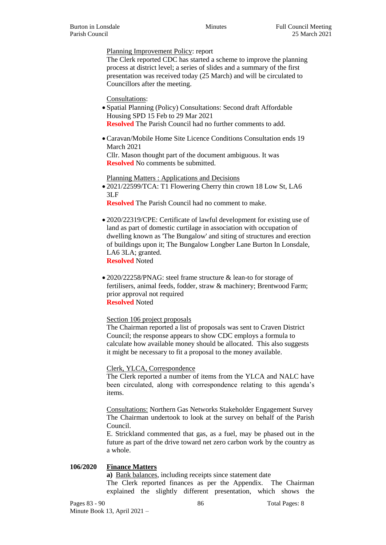Planning Improvement Policy: report

The Clerk reported CDC has started a scheme to improve the planning process at district level; a series of slides and a summary of the first presentation was received today (25 March) and will be circulated to Councillors after the meeting.

**iii.** Consultations:

- Spatial Planning (Policy) Consultations: Second draft Affordable Housing SPD 15 Feb to 29 Mar 2021 **Resolved** The Parish Council had no further comments to add.
- Caravan/Mobile Home Site Licence Conditions Consultation ends 19 March 2021

Cllr. Mason thought part of the document ambiguous. It was **Resolved** No comments be submitted.

**iv.** Planning Matters : Applications and Decisions

 2021/22599/TCA: T1 Flowering Cherry thin crown 18 Low St, LA6 3LF

**Resolved** The Parish Council had no comment to make.

- 2020/22319/CPE: Certificate of lawful development for existing use of land as part of domestic curtilage in association with occupation of dwelling known as 'The Bungalow' and siting of structures and erection of buildings upon it; The Bungalow Longber Lane Burton In Lonsdale, LA6 3LA: granted. **Resolved** Noted
- 2020/22258/PNAG: steel frame structure & lean-to for storage of fertilisers, animal feeds, fodder, straw & machinery; Brentwood Farm; prior approval not required **Resolved** Noted

Section 106 project proposals

The Chairman reported a list of proposals was sent to Craven District Council; the response appears to show CDC employs a formula to calculate how available money should be allocated. This also suggests it might be necessary to fit a proposal to the money available.

**e)** Clerk, YLCA, Correspondence

The Clerk reported a number of items from the YLCA and NALC have been circulated, along with correspondence relating to this agenda's items.

**f)** Consultations: Northern Gas Networks Stakeholder Engagement Survey The Chairman undertook to look at the survey on behalf of the Parish Council.

E. Strickland commented that gas, as a fuel, may be phased out in the future as part of the drive toward net zero carbon work by the country as a whole.

#### **106/2020 Finance Matters**

**a)** Bank balances, including receipts since statement date

The Clerk reported finances as per the Appendix. The Chairman explained the slightly different presentation, which shows the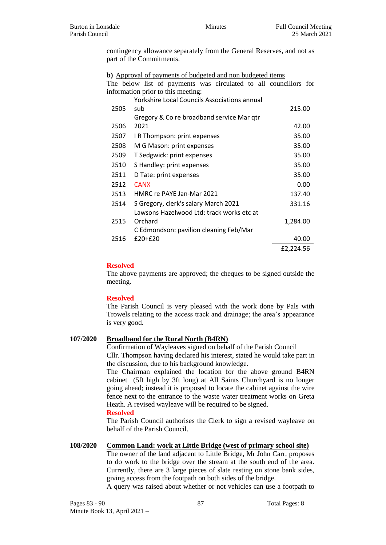contingency allowance separately from the General Reserves, and not as part of the Commitments.

**b)** Approval of payments of budgeted and non budgeted items

|                                    |  |  |  |  |  |  |  |  | The below list of payments was circulated to all councillors for |  |
|------------------------------------|--|--|--|--|--|--|--|--|------------------------------------------------------------------|--|
| information prior to this meeting: |  |  |  |  |  |  |  |  |                                                                  |  |

|      | <b>Yorkshire Local Councils Associations annual</b> |           |
|------|-----------------------------------------------------|-----------|
| 2505 | sub                                                 | 215.00    |
|      | Gregory & Co re broadband service Mar qtr           |           |
| 2506 | 2021                                                | 42.00     |
| 2507 | I R Thompson: print expenses                        | 35.00     |
| 2508 | M G Mason: print expenses                           | 35.00     |
| 2509 | T Sedgwick: print expenses                          | 35.00     |
| 2510 | S Handley: print expenses                           | 35.00     |
| 2511 | D Tate: print expenses                              | 35.00     |
| 2512 | <b>CANX</b>                                         | 0.00      |
| 2513 | HMRC re PAYE Jan-Mar 2021                           | 137.40    |
| 2514 | S Gregory, clerk's salary March 2021                | 331.16    |
|      | Lawsons Hazelwood Ltd: track works etc at           |           |
| 2515 | Orchard                                             | 1,284.00  |
|      | C Edmondson: pavilion cleaning Feb/Mar              |           |
| 2516 | $£20+£20$                                           | 40.00     |
|      |                                                     | £2,224.56 |

## **Resolved**

The above payments are approved; the cheques to be signed outside the meeting.

#### **Resolved**

The Parish Council is very pleased with the work done by Pals with Trowels relating to the access track and drainage; the area's appearance is very good.

## **107/2020 Broadband for the Rural North (B4RN)**

Confirmation of Wayleaves signed on behalf of the Parish Council Cllr. Thompson having declared his interest, stated he would take part in the discussion, due to his background knowledge.

The Chairman explained the location for the above ground B4RN cabinet (5ft high by 3ft long) at All Saints Churchyard is no longer going ahead; instead it is proposed to locate the cabinet against the wire fence next to the entrance to the waste water treatment works on Greta Heath. A revised wayleave will be required to be signed.

## **Resolved**

The Parish Council authorises the Clerk to sign a revised wayleave on behalf of the Parish Council.

#### **108/2020 Common Land: work at Little Bridge (west of primary school site)**

The owner of the land adjacent to Little Bridge, Mr John Carr, proposes to do work to the bridge over the stream at the south end of the area. Currently, there are 3 large pieces of slate resting on stone bank sides, giving access from the footpath on both sides of the bridge.

A query was raised about whether or not vehicles can use a footpath to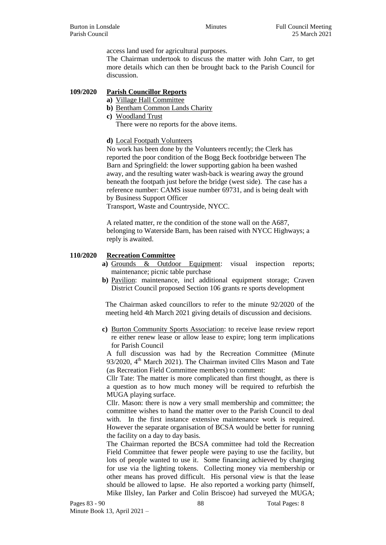access land used for agricultural purposes.

The Chairman undertook to discuss the matter with John Carr, to get more details which can then be brought back to the Parish Council for discussion.

#### **109/2020 Parish Councillor Reports**

- **a)** Village Hall Committee
	- **b)** Bentham Common Lands Charity
- **c)** Woodland Trust

There were no reports for the above items.

**d)** Local Footpath Volunteers

No work has been done by the Volunteers recently; the Clerk has reported the poor condition of the Bogg Beck footbridge between The Barn and Springfield: the lower supporting gabion ha been washed away, and the resulting water wash-back is wearing away the ground beneath the footpath just before the bridge (west side). The case has a reference number: CAMS issue number 69731, and is being dealt with by Business Support Officer

Transport, Waste and Countryside, NYCC.

A related matter, re the condition of the stone wall on the A687, belonging to Waterside Barn, has been raised with NYCC Highways; a reply is awaited.

### **110/2020 Recreation Committee**

- **a)** Grounds & Outdoor Equipment: visual inspection reports; maintenance; picnic table purchase
- **b)** Pavilion: maintenance, incl additional equipment storage; Craven District Council proposed Section 106 grants re sports development

The Chairman asked councillors to refer to the minute 92/2020 of the meeting held 4th March 2021 giving details of discussion and decisions.

**c)** Burton Community Sports Association: to receive lease review report re either renew lease or allow lease to expire; long term implications for Parish Council

A full discussion was had by the Recreation Committee (Minute  $93/2020$ ,  $4<sup>th</sup>$  March 2021). The Chairman invited Cllrs Mason and Tate (as Recreation Field Committee members) to comment:

Cllr Tate: The matter is more complicated than first thought, as there is a question as to how much money will be required to refurbish the MUGA playing surface.

Cllr. Mason: there is now a very small membership and committee; the committee wishes to hand the matter over to the Parish Council to deal with. In the first instance extensive maintenance work is required. However the separate organisation of BCSA would be better for running the facility on a day to day basis.

The Chairman reported the BCSA committee had told the Recreation Field Committee that fewer people were paying to use the facility, but lots of people wanted to use it. Some financing achieved by charging for use via the lighting tokens. Collecting money via membership or other means has proved difficult. His personal view is that the lease should be allowed to lapse. He also reported a working party (himself, Mike Illsley, Ian Parker and Colin Briscoe) had surveyed the MUGA;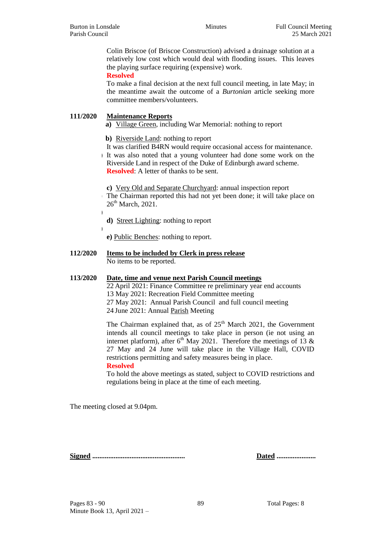**b)**

**d)**

Colin Briscoe (of Briscoe Construction) advised a drainage solution at a relatively low cost which would deal with flooding issues. This leaves the playing surface requiring (expensive) work.

**Resolved**

To make a final decision at the next full council meeting, in late May; in the meantime await the outcome of a *Burtonian* article seeking more committee members/volunteers.

## **111/2020 Maintenance Reports**

**a)** Village Green, including War Memorial: nothing to report

**b)** Riverside Land: nothing to report

**c)** It was clarified B4RN would require occasional access for maintenance. **d)** It was also noted that a young volunteer had done some work on the Riverside Land in respect of the Duke of Edinburgh award scheme. **Resolved:** A letter of thanks to be sent.

**c)** Very Old and Separate Churchyard: annual inspection report **a)** The Chairman reported this had not yet been done; it will take place on  $26<sup>th</sup> March, 2021.$ 

**c) d)** Street Lighting: nothing to report

**e) e)** Public Benches: nothing to report.

#### **112/2020 Items to be included by Clerk in press release** No items to be reported.

#### **113/2020 Date, time and venue next Parish Council meetings**

22 April 2021: Finance Committee re preliminary year end accounts 13 May 2021: Recreation Field Committee meeting 27 May 2021: Annual Parish Council and full council meeting 24 June 2021: Annual Parish Meeting

The Chairman explained that, as of  $25<sup>th</sup>$  March 2021, the Government intends all council meetings to take place in person (ie not using an internet platform), after  $6<sup>th</sup>$  May 2021. Therefore the meetings of 13 & 27 May and 24 June will take place in the Village Hall, COVID restrictions permitting and safety measures being in place.

**Resolved**

To hold the above meetings as stated, subject to COVID restrictions and regulations being in place at the time of each meeting.

The meeting closed at 9.04pm.

**Signed .................................................... Dated ......................**